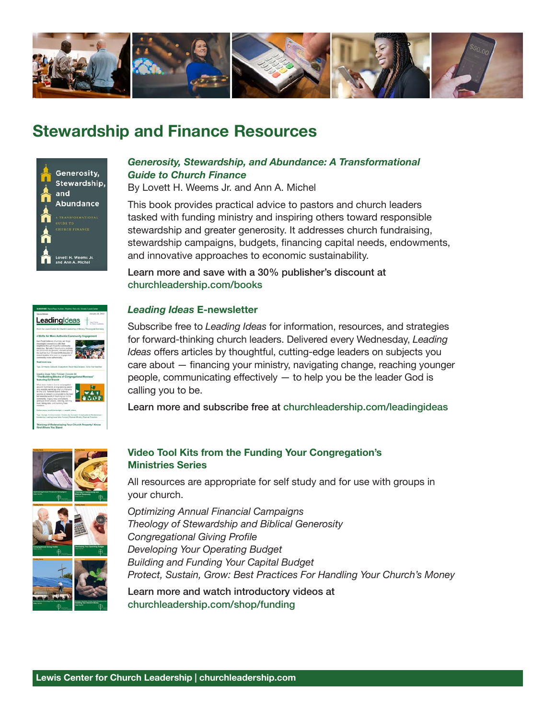

# **Stewardship and Finance Resources**



## *Generosity, Stewardship, and Abundance: A Transformational Guide to Church Finance*

By Lovett H. Weems Jr. and Ann A. Michel

This book provides practical advice to pastors and church leaders tasked with funding ministry and inspiring others toward responsible stewardship and greater generosity. It addresses church fundraising, stewardship campaigns, budgets, financing capital needs, endowments, and innovative approaches to economic sustainability.

Learn more and save with a 30% publisher's discount at [churchleadership.com/books](https://www.churchleadership.com/category/books/)



## *Leading Ideas* **E-newsletter**

Subscribe free to *Leading Ideas* for information, resources, and strategies for forward-thinking church leaders. Delivered every Wednesday, *Leading Ideas* offers articles by thoughtful, cutting-edge leaders on subjects you care about — financing your ministry, navigating change, reaching younger people, communicating effectively — to help you be the leader God is calling you to be.

Learn more and subscribe free at [churchleadership.com/leadingideas](https://www.churchleadership.com/category/leading-ideas/)



## **Video Tool Kits from the Funding Your Congregation's Ministries Series**

All resources are appropriate for self study and for use with groups in your church.

*Optimizing Annual Financial Campaigns Theology of Stewardship and Biblical Generosity Congregational Giving Profile Developing Your Operating Budget Building and Funding Your Capital Budget Protect, Sustain, Grow: Best Practices For Handling Your Church's Money* Learn more and watch introductory videos at

[churchleadership.com/shop/funding](https://www.churchleadership.com/product-category/funding-your-congregations-vision/)